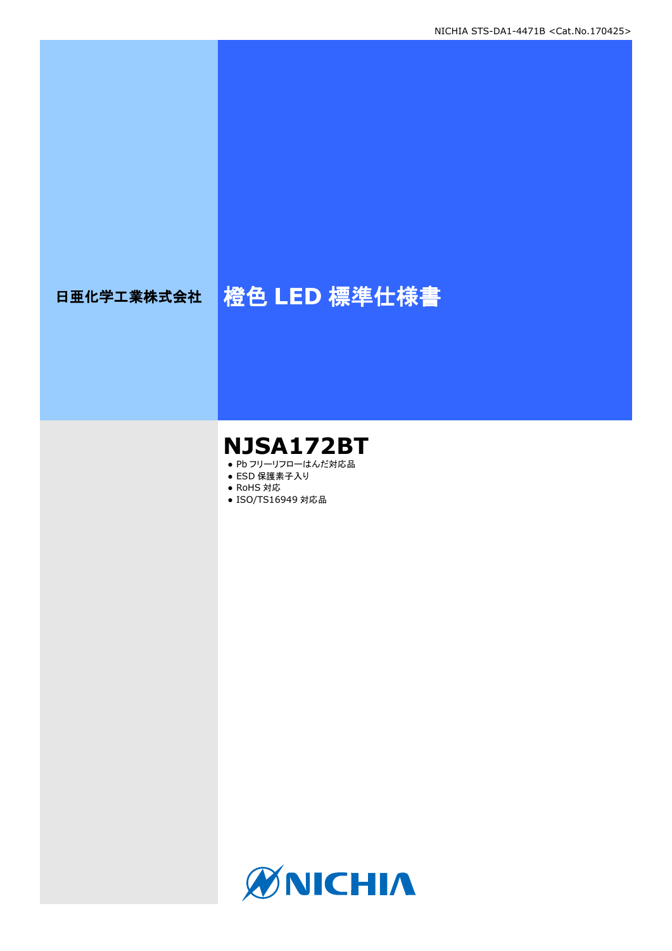# 日亜化学工業株式会社 <mark>橙色 LED 標準仕様書</mark>

# **NJSA172BT**

- Pb フリーリフローはんだ対応品
- ESD 保護素子入り
- RoHS 対応
- ISO/TS16949 対応品

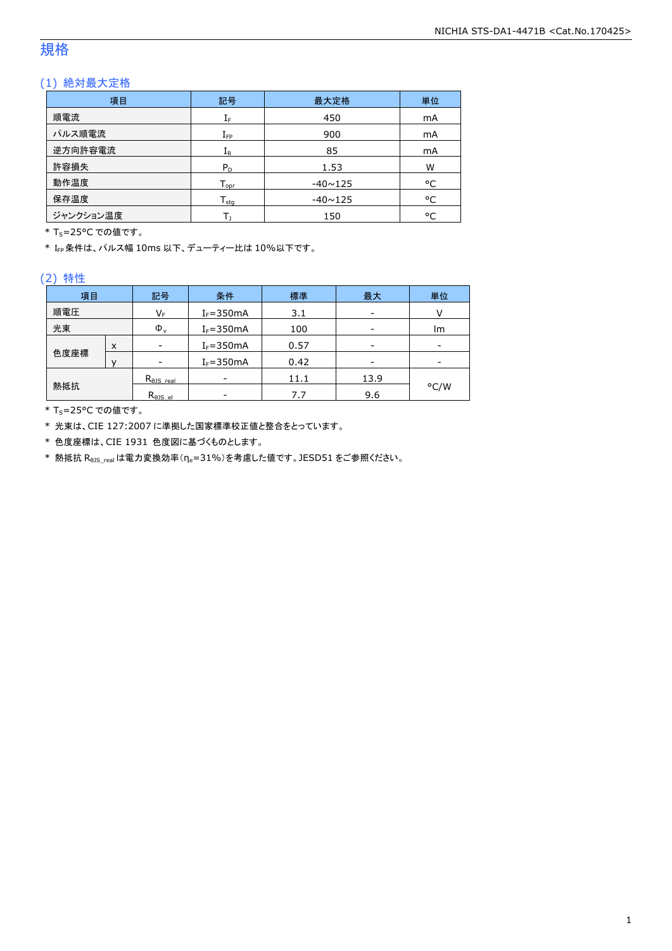## 規格

## (1) 絶対最大定格

| 項目        | 記号                           | 最大定格           | 単位 |
|-----------|------------------------------|----------------|----|
| 順電流       | ${\rm I}_{{\rm F}}$          | 450            | mA |
| パルス順電流    | $I_{\mathsf{FP}}$            | 900            | mA |
| 逆方向許容電流   | $\rm I_R$                    | 85             | mA |
| 許容損失      | $P_D$                        | 1.53           | W  |
| 動作温度      | ${\mathsf T}_{\textsf{opr}}$ | $-40 \sim 125$ | °C |
| 保存温度      | $T_{sta}$                    | $-40 \sim 125$ | °C |
| ジャンクション温度 |                              | 150            | °C |

\* T<sub>S</sub>=25°C での値です。

 $*$  I<sub>FP</sub> 条件は、パルス幅 10ms 以下、デューティー比は 10%以下です。

## (2) 特性

| 項目   |   | 記号                   | 条件            | 標準   | 最大                       | 単位   |
|------|---|----------------------|---------------|------|--------------------------|------|
| 順電圧  |   | $V_F$                | $I_F = 350mA$ | 3.1  | $\overline{\phantom{a}}$ |      |
| 光束   |   | $\Phi_{\rm v}$       | $I_F = 350mA$ | 100  | $\overline{\phantom{a}}$ | lm   |
|      | x |                      | $I_F = 350mA$ | 0.57 |                          |      |
| 色度座標 |   |                      | $I_F = 350mA$ | 0.42 |                          |      |
|      |   | $R_{\theta}$ JS real |               | 11.1 | 13.9                     |      |
| 熱抵抗  |   | $R_{\theta}$ JS el   |               | 7.7  | 9.6                      | °C/W |

\* Ts=25°C での値です。

\* 光束は、CIE 127:2007 に準拠した国家標準校正値と整合をとっています。

\* 色度座標は、CIE 1931 色度図に基づくものとします。

 $*$  熱抵抗  $R_{\theta}$ JS\_real は電力変換効率(ne=31%)を考慮した値です。JESD51 をご参照ください。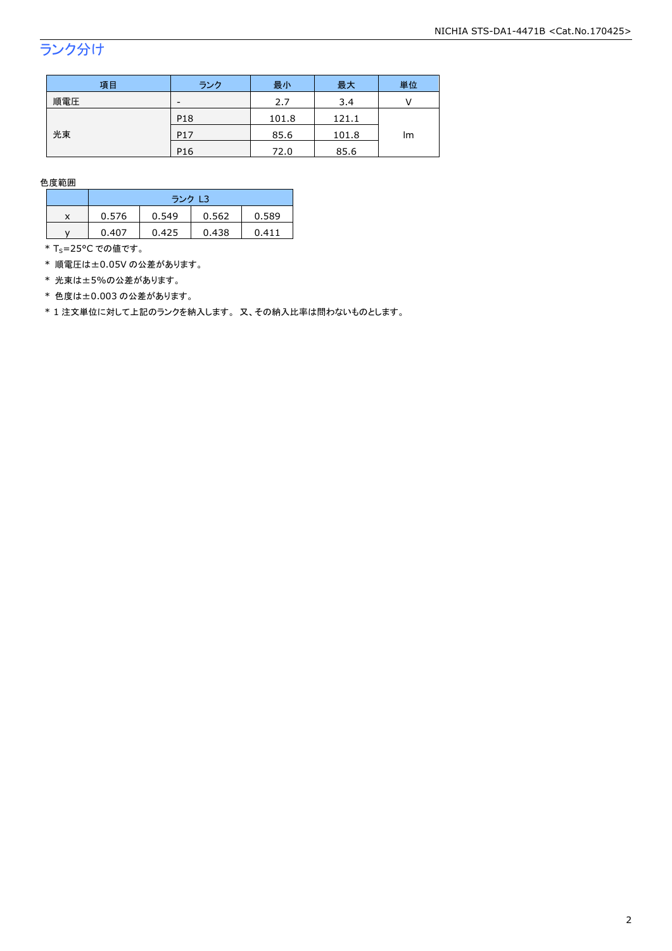## ランク分け

| 項目  | ランク                      | 最小    | 最大    | 単位 |  |
|-----|--------------------------|-------|-------|----|--|
| 順電圧 | $\overline{\phantom{a}}$ | 2.7   | 3.4   |    |  |
|     | P18                      | 101.8 | 121.1 | Im |  |
| 光束  | P17                      | 85.6  | 101.8 |    |  |
|     | P16                      | 72.0  | 85.6  |    |  |

色度範囲

|   | ランク L3 |       |       |       |
|---|--------|-------|-------|-------|
| x | 0.576  | 0.549 | 0.562 | 0.589 |
|   | 0.407  | 0.425 | 0.438 | 0411  |

\* T<sub>S</sub>=25°C での値です。

\* 順電圧は±0.05V の公差があります。

\* 光束は±5%の公差があります。

\* 色度は±0.003 の公差があります。

\* 1 注文単位に対して上記のランクを納入します。 又、その納入比率は問わないものとします。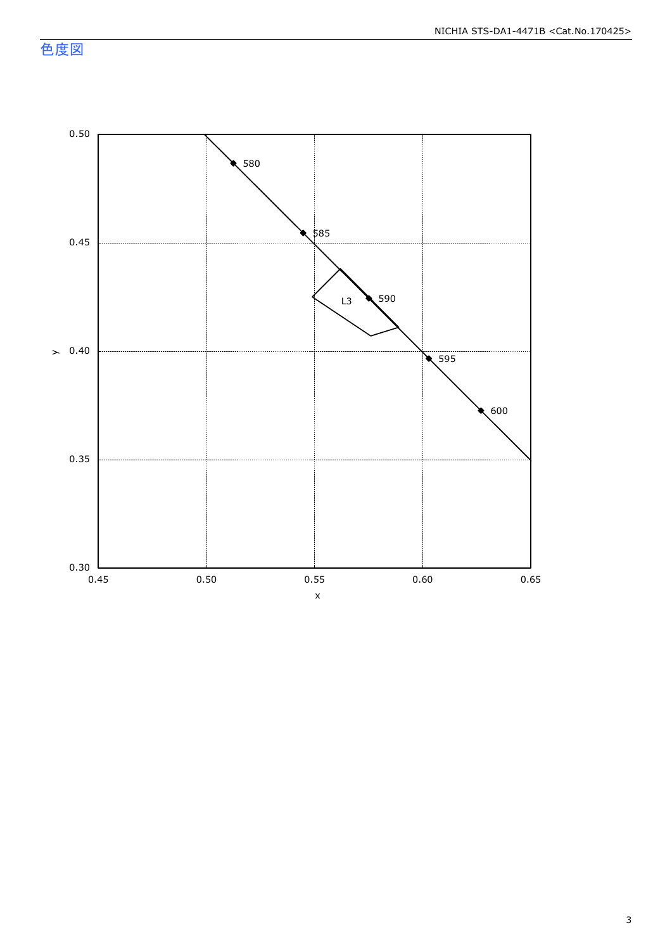色度図

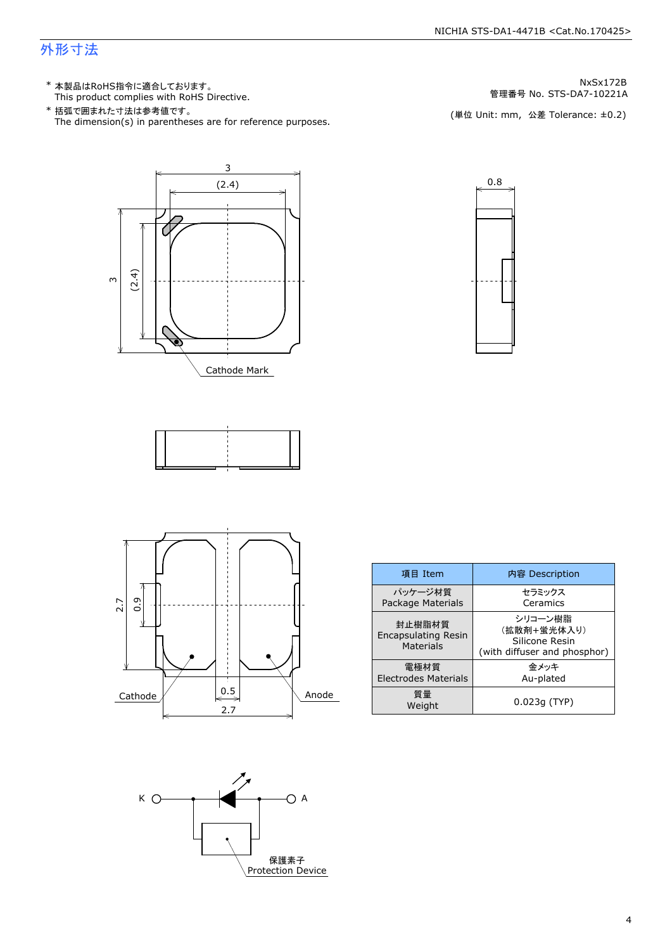## 外形寸法

- 
- \* 本製品はRoHS指令に適合しております。<br>This product complies with RoHS Directive. \* まいちゃん ていることについて、 はっというのは、 ではいいのは、 ではないのは、 STS-DA7-10221A<br>\* 括弧で囲まれた寸法は参考値です。 STS-DA7-10221A ト<br>The dimension(s) in parentheses are for reference purposes.
	- 管理番号 No.





| 項目 Item                                           | 内容 Description                                                           |  |
|---------------------------------------------------|--------------------------------------------------------------------------|--|
| パッケージ材質<br>Package Materials                      | セラミックス<br>Ceramics                                                       |  |
| 封止樹脂材質<br><b>Encapsulating Resin</b><br>Materials | シリコーン樹脂<br>(拡散剤+蛍光体入り)<br>Silicone Resin<br>(with diffuser and phosphor) |  |
| 電極材質<br><b>Electrodes Materials</b>               | 金メッキ<br>Au-plated                                                        |  |
| 質量<br>Weight                                      | $0.023q$ (TYP)                                                           |  |

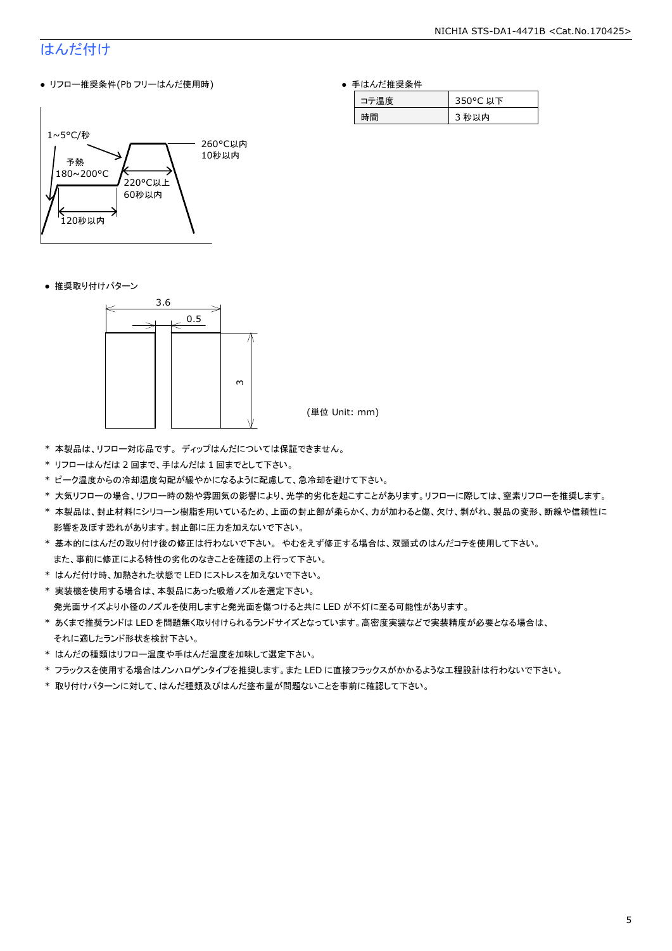## はんだ付け

● リフロー推奨条件(Pb フリーはんだ使用時)

#### ● 手はんだ推奨条件

| 度 | 以下<br>)°C |
|---|-----------|
| 間 | ›以内       |



● 推奨取り付けパターン



- \* 本製品は、リフロー対応品です。 ディップはんだについては保証できません。
- \* リフローはんだは 2 回まで、手はんだは 1 回までとして下さい。
- \* ピーク温度からの冷却温度勾配が緩やかになるように配慮して、急冷却を避けて下さい。
- \* 大気リフローの場合、リフロー時の熱や雰囲気の影響により、光学的劣化を起こすことがあります。リフローに際しては、窒素リフローを推奨します。
- \* 本製品は、封止材料にシリコーン樹脂を用いているため、上面の封止部が柔らかく、力が加わると傷、欠け、剥がれ、製品の変形、断線や信頼性に 影響を及ぼす恐れがあります。封止部に圧力を加えないで下さい。
- \* 基本的にはんだの取り付け後の修正は行わないで下さい。 やむをえず修正する場合は、双頭式のはんだコテを使用して下さい。 また、事前に修正による特性の劣化のなきことを確認の上行って下さい。
- \* はんだ付け時、加熱された状態で LED にストレスを加えないで下さい。
- \* 実装機を使用する場合は、本製品にあった吸着ノズルを選定下さい。 発光面サイズより小径のノズルを使用しますと発光面を傷つけると共に LED が不灯に至る可能性があります。
- \* あくまで推奨ランドは LED を問題無く取り付けられるランドサイズとなっています。高密度実装などで実装精度が必要となる場合は、 それに適したランド形状を検討下さい。
- \* はんだの種類はリフロー温度や手はんだ温度を加味して選定下さい。
- \* フラックスを使用する場合はノンハロゲンタイプを推奨します。また LED に直接フラックスがかかるような工程設計は行わないで下さい。
- \* 取り付けパターンに対して、はんだ種類及びはんだ塗布量が問題ないことを事前に確認して下さい。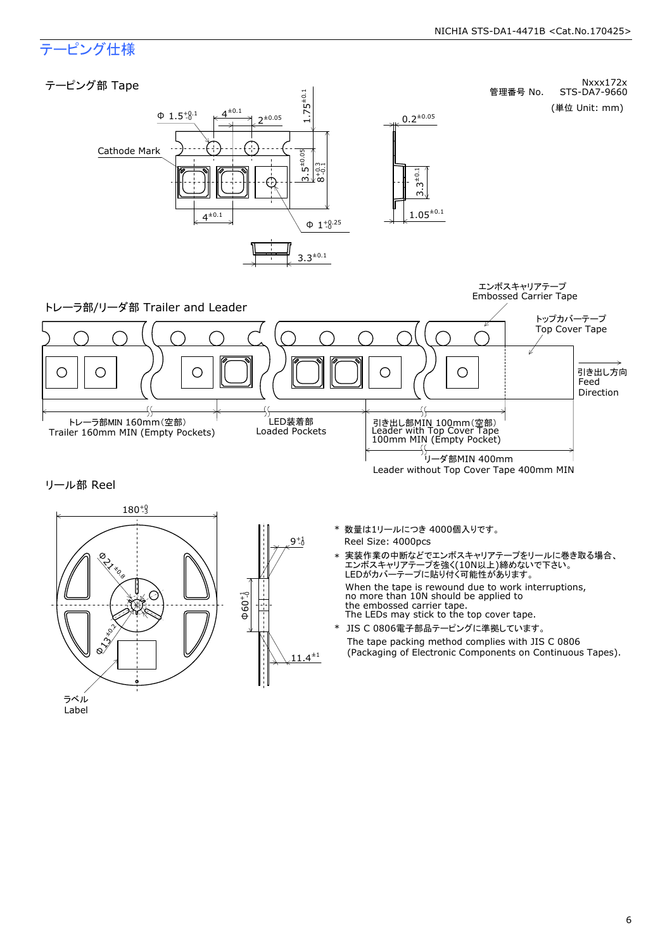## テーピング仕様

#### テーピング部 Tape  $\overline{r}$  $1.75^{\pm0.1}$ 管理番号 No. STS-DA7-9660 (単位 Unit: mm)  $\xrightarrow{4^{\pm 0.1}}$  2±0.05  $0.2^{\pm 0.05}$  $\Phi$  1.5<sup>+0.1</sup> Cathode Mark  $3.5*0.05$  $\alpha^+$ 3.3±0.1  $1.05^{+0.1}$  $4^{\pm 0.1}$  $\Phi$  1<sup>+0.25</sup>  $3.3^{\pm0.1}$ エンボスキャリアテープ Embossed Carrier Tape トレーラ部/リーダ部 Trailer and Leader トップカバーテープ Top Cover Tape  $\bigcirc$  $\bigcirc$ ◯ С  $\bigcirc$ 引き出し方向 Feed Direction ₩ -55 49 LED装着部<br>Loaded Pockets トレーラ部MIN 160mm(空部)<br>Trailer 160mm MIN (Empty Pockets) Loaded Pockets Leader with Top Cover Tape<br>- Homm MIN (Empty Pockets) Loaded Pockets Loader with Top Cover Tape 100mm<br>- リーダ部MIN 400mm MIN (ニューリーダ部MIN 400mm MIN Leader w リール部 Reel $\begin{picture}(180,10) \put(0,0){\line(1,0){10}} \put(15,0){\line(1,0){10}} \put(15,0){\line(1,0){10}} \put(15,0){\line(1,0){10}} \put(15,0){\line(1,0){10}} \put(15,0){\line(1,0){10}} \put(15,0){\line(1,0){10}} \put(15,0){\line(1,0){10}} \put(15,0){\line(1,0){10}} \put(15,0){\line(1,0){10}} \put(15,0){\line(1,0){10}}$  $180^{+9}$ \* 数量は1リールにつき 4000個入りです。<br>Reel Size: 4000pcs 実装作業の中断などでエンボスキャリアテープをリールに巻き取る場合、<br>エンボスキャリアテープを強く(10N以上)締めないで下さい。<br>LEDがカバーテープに貼り付く可能性があります。 **PLY to a**  $\chi^2$ When the tape is rewound due to work interruptions,  $+100 + 100 + 100$ no more than 10N should be applied to  $\leftarrow$ the embossed carrier tape.<br>The LEDs may stick to the top cover tape. f**Q**3%2 \* JIS C 0806電子部品テーピングに準拠しています。<br>The tape packing method complies with JIS C 0806<br>(Packaging of Electronic Components on Continuous Tapes). The tape packing method complies with JIS C 0806  $11.4^{\pm1}$

ラベル Label

6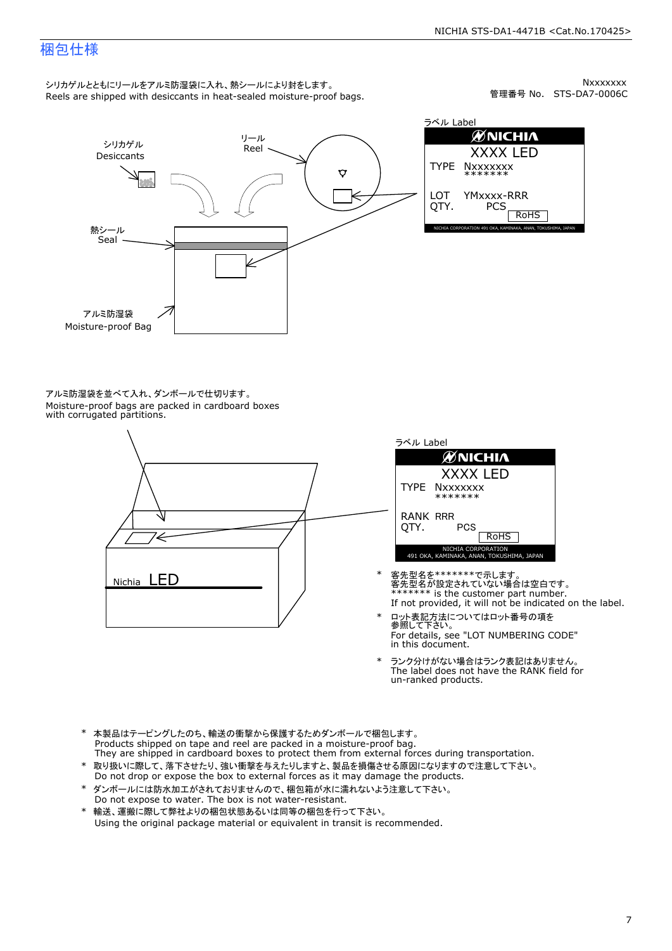## 梱包仕様

シリカゲルとともにリールをアルミ防湿袋に入れ、熱シールにより封をします。<br>Reels are shipped with desiccants in heat-sealed moisture-proof bags.

Nxxxxxxx<br>管理番号 No. STS-DA7-0006C



ラベル Label ØNICHIA XXXX LED<br>|xxxxxxx<br>\*\*\*\*\*\*\*<br>'Mxxxx-RRR<br>PCS & Rohs TYPE NXXXXXXX<br>
LOT YMXXXX-R<br>
QTY. PCS YMxxxx-RRR

アルミ防湿袋を並べて入れ、ダンボールで仕切ります。<br>Moisture-proof bags are packed in cardboard boxes<br>with corrugated partitions.





- 客先型名を\*\*\*\*\*\*\*で示します。<br>客先型名が設定されていない場合は空白です。<br>\*\*\*\*\*\*\* is the customer part number.<br>If not provided, it will not be indicated on the label.
- ロット表記方法についてはロット番号の項を<br>参照して下さい。 \* ロット表記方法についてはロット番号の項を<br>参照して下さい。<br>For details, see "LOT NUMBERING CODE"<br>in this document.
- The label does not have the RANK field for \* ランク分けがない場合はランク表記はありません。<br>The label does not have the RANK field fi<br>un-ranked products.
- 
- \* 取り扱いに際して、落下させたり、強い衝撃を与えたりしますと、製品を損傷させる原因になりますので注意して下さい。<br>Do not drop or expose the box to external forces as it may damage the products.<br>\* ダンボールには防水加工がされておりませんので、梱包箱が水に濡れないよう注意して下さい。<br>Do not expose to water. The box is n \* 本製品はテーピングしたのち、輸送の衝撃から保護するためダンボールで梱包します。<br>Products shipped on tape and reel are packed in a moisture-proof bag.<br>They are shipped in cardboard boxes to protect them from external forces during transportation.<br>\* 取り扱いに際して、落
- \* ダンボールには防水加工がされておりませんので、梱包箱が水に濡れないよう注意して下さい。
-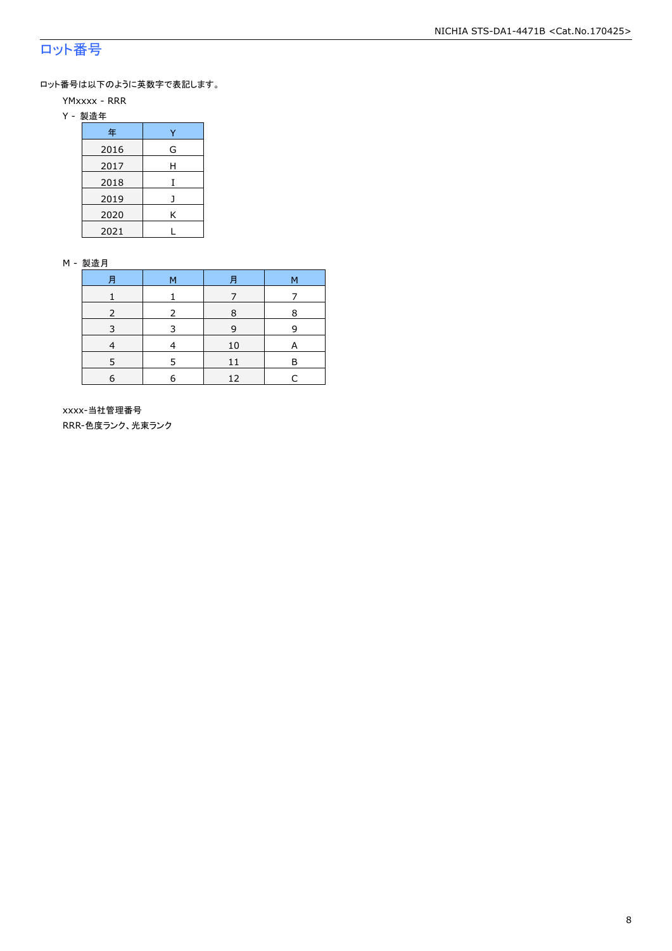## ロット番号

ロット番号は以下のように英数字で表記します。

- YMxxxx RRR
- Y 製造年

| 年    |   |  |  |  |
|------|---|--|--|--|
| 2016 | G |  |  |  |
| 2017 | Н |  |  |  |
| 2018 |   |  |  |  |
| 2019 |   |  |  |  |
| 2020 | Κ |  |  |  |
| 2021 |   |  |  |  |

#### M - 製造月

|   | м | 目  | M |
|---|---|----|---|
|   |   |    |   |
|   | 2 | 8  | 8 |
|   |   | q  | q |
|   |   | 10 |   |
|   |   |    | R |
| ĥ |   | 12 |   |

 xxxx-当社管理番号 RRR-色度ランク、光束ランク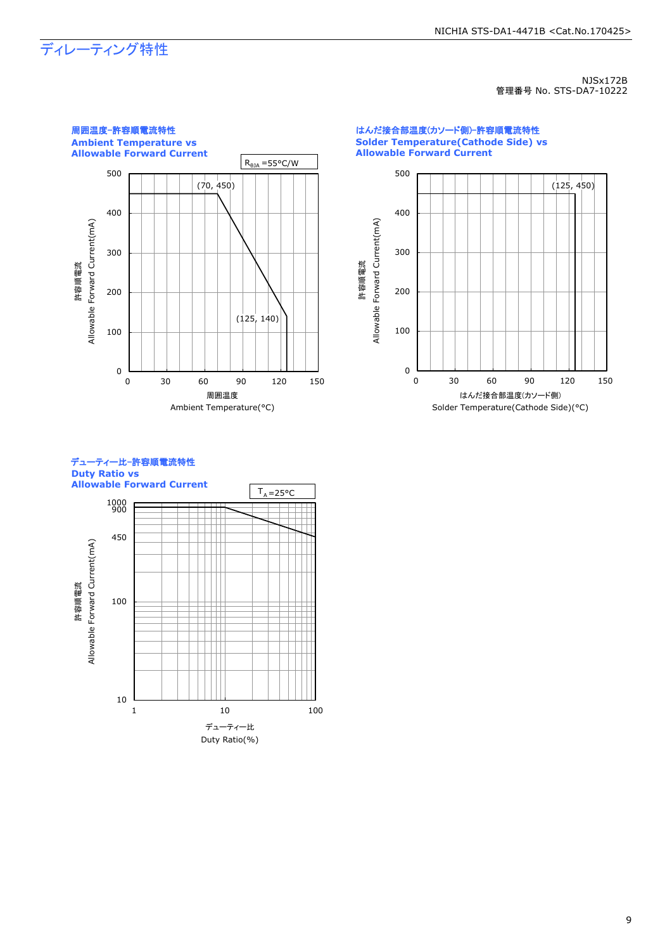## ディレーティング特性

NJSx172B 管理番号 No. STS-DA7-10222



はんだ接合部温度(カソード側)-許容順電流特性 **Solder Temperature(Cathode Side) vs Allowable Forward Current**



デューティー比-許容順電流特性 **Duty Ratio vs Allowable Forward Current**

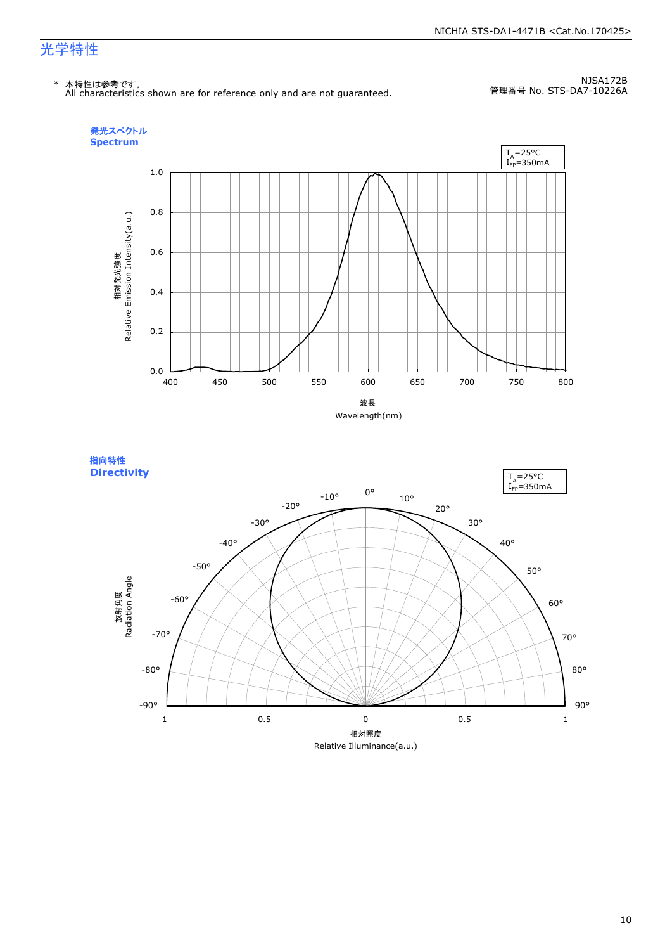#### NICHIA STS-DA1-4471B <Cat.No.170425>

## 光学特性

\* 本特性は参考です。 All characteristics shown are for reference only and are not guaranteed.

NJSA172B 管理番号 No. STS-DA7-10226A



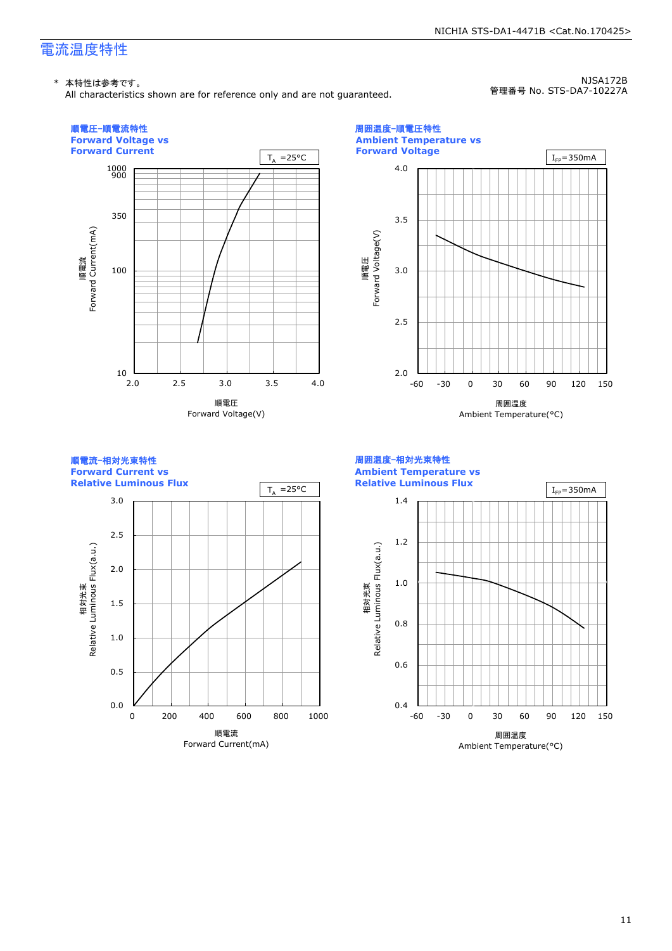## 電流温度特性

#### \* 本特性は参考です。

All characteristics shown are for reference only and are not guaranteed.

NJSA172B 管理番号 No. STS-DA7-10227A

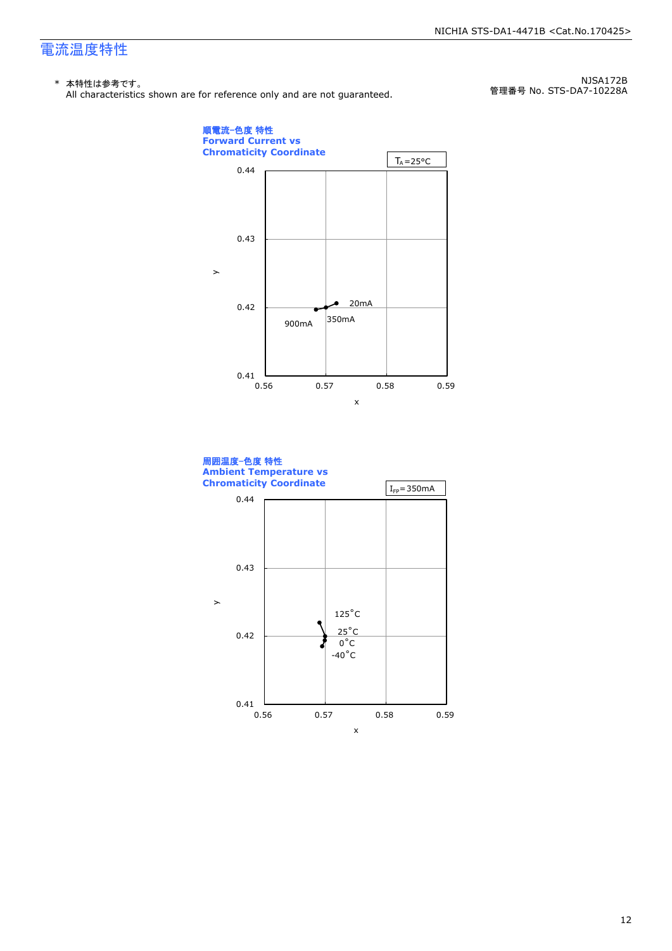## 電流温度特性

## \* 本特性は参考です。

All characteristics shown are for reference only and are not guaranteed.

NJSA172B 管理番号 No. STS-DA7-10228A



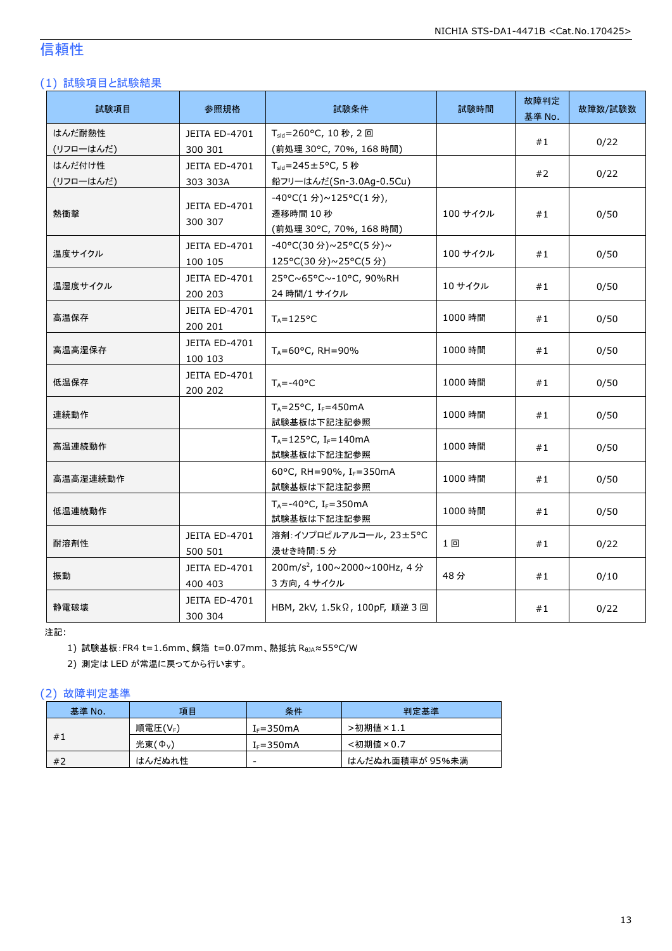## 信頼性

## (1) 試験項目と試験結果

| 試験項目      | 参照規格                            | 試験条件                                                        | 試験時間     | 故障判定<br>基準 No. | 故障数/試験数 |
|-----------|---------------------------------|-------------------------------------------------------------|----------|----------------|---------|
| はんだ耐熱性    | <b>JEITA ED-4701</b>            | T <sub>sid</sub> =260°C, 10秒, 2回                            |          |                |         |
| (リフローはんだ) | 300 301                         | (前処理 30°C, 70%, 168 時間)                                     |          | #1             | 0/22    |
| はんだ付け性    | JEITA ED-4701                   | T <sub>sld</sub> =245±5°C, 5秒                               |          |                |         |
| (リフローはんだ) | 303 303A                        | 鉛フリーはんだ(Sn-3.0Ag-0.5Cu)                                     |          | #2             | 0/22    |
| 熱衝撃       | JEITA ED-4701<br>300 307        | -40°C(1分)~125°C(1分),<br>遷移時間 10秒<br>(前処理 30°C, 70%, 168 時間) | 100 サイクル | #1             | 0/50    |
| 温度サイクル    | JEITA ED-4701<br>100 105        | -40°C(30 分)~25°C(5 分)~<br>125°C(30 分)~25°C(5 分)             | 100 サイクル | #1             | 0/50    |
| 温湿度サイクル   | JEITA ED-4701<br>200 203        | 25°C~65°C~-10°C, 90%RH<br>24 時間/1 サイクル                      | 10 サイクル  | #1             | 0/50    |
| 高温保存      | JEITA ED-4701<br>200 201        | $T_A = 125$ °C                                              | 1000 時間  | #1             | 0/50    |
| 高温高湿保存    | JEITA ED-4701<br>100 103        | $T_A = 60^{\circ}$ C, RH = 90%                              | 1000 時間  | #1             | 0/50    |
| 低温保存      | <b>JEITA ED-4701</b><br>200 202 | $T_A = -40$ °C                                              | 1000 時間  | #1             | 0/50    |
| 連続動作      |                                 | $T_A = 25$ °C, I <sub>F</sub> =450mA<br>試験基板は下記注記参照         | 1000 時間  | #1             | 0/50    |
| 高温連続動作    |                                 | $T_A = 125$ °C, I <sub>F</sub> =140mA<br>試験基板は下記注記参照        | 1000 時間  | #1             | 0/50    |
| 高温高湿連続動作  |                                 | 60°C, RH=90%, IF=350mA<br>試験基板は下記注記参照                       | 1000 時間  | #1             | 0/50    |
| 低温連続動作    |                                 | $T_A = -40$ °C, I <sub>F</sub> =350mA<br>試験基板は下記注記参照        | 1000 時間  | #1             | 0/50    |
| 耐溶剤性      | <b>JEITA ED-4701</b><br>500 501 | 溶剤: イソプロピルアルコール, 23±5°C<br>浸せき時間: 5 分                       | 1回       | #1             | 0/22    |
| 振動        | JEITA ED-4701<br>400 403        | 200m/s <sup>2</sup> , 100~2000~100Hz, 4分<br>3方向, 4 サイクル     | 48分      | #1             | 0/10    |
| 静電破壊      | JEITA ED-4701<br>300 304        | HBM, 2kV, 1.5kΩ, 100pF, 順逆 3回                               |          | #1             | 0/22    |

注記:

1) 試験基板: FR4 t=1.6mm、銅箔 t=0.07mm、熱抵抗 R<sub>θJA</sub>≈55°C/W

2) 測定は LED が常温に戻ってから行います。

### (2) 故障判定基準

|  | 基準 No.<br>項目 |                  | 条件            | 判定基準            |  |
|--|--------------|------------------|---------------|-----------------|--|
|  | #1           | 順電圧(VF)          | $I_F = 350mA$ | >初期値×1.1        |  |
|  |              | 光束( $\Phi_{V}$ ) | $I_F = 350mA$ | <初期値×0.7        |  |
|  | #2           | はんだぬれ性           | -             | はんだぬれ面積率が 95%未満 |  |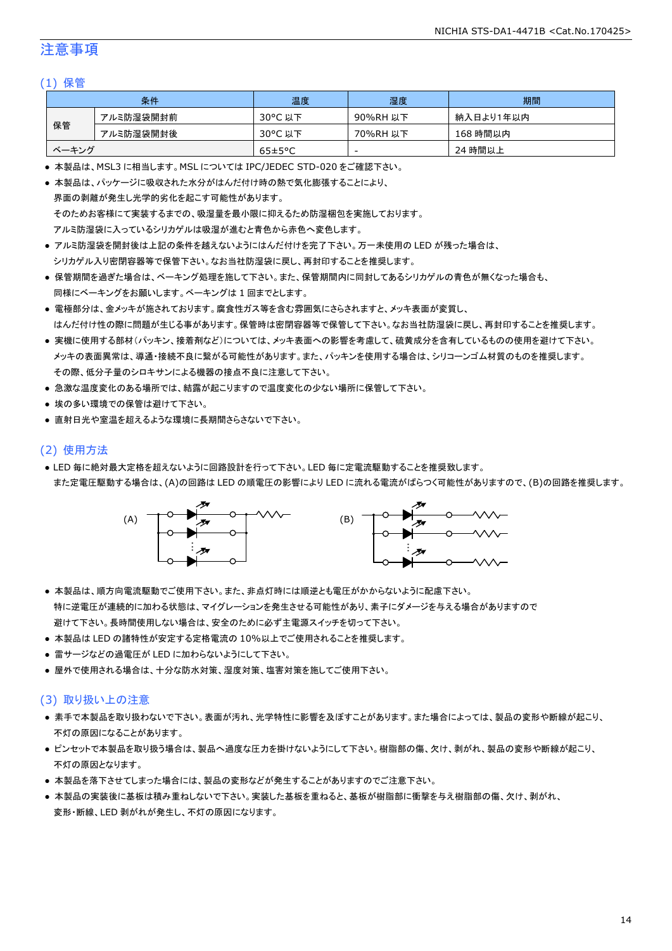## 注意事項

#### (1) 保管

| 条件    |           | 温度                   | 湿度       | 期間        |
|-------|-----------|----------------------|----------|-----------|
|       | アルミ防湿袋開封前 | 30°C 以下              | 90%RH 以下 | 納入日より1年以内 |
| 保管    | アルミ防湿袋開封後 | 30°C 以下              | 70%RH 以下 | 168 時間以内  |
| ベーキング |           | $65 \pm 5^{\circ}$ C | -        | 24 時間以上   |

● 本製品は、MSL3 に相当します。MSL については IPC/JEDEC STD-020 をご確認下さい。

- 本製品は、パッケージに吸収された水分がはんだ付け時の熱で気化膨張することにより、 界面の剥離が発生し光学的劣化を起こす可能性があります。 そのためお客様にて実装するまでの、吸湿量を最小限に抑えるため防湿梱包を実施しております。 アルミ防湿袋に入っているシリカゲルは吸湿が進むと青色から赤色へ変色します。
- アルミ防湿袋を開封後は上記の条件を越えないようにはんだ付けを完了下さい。万一未使用の LED が残った場合は、 シリカゲル入り密閉容器等で保管下さい。なお当社防湿袋に戻し、再封印することを推奨します。
- 保管期間を過ぎた場合は、ベーキング処理を施して下さい。また、保管期間内に同封してあるシリカゲルの青色が無くなった場合も、 同様にベーキングをお願いします。ベーキングは 1 回までとします。
- 電極部分は、金メッキが施されております。腐食性ガス等を含む雰囲気にさらされますと、メッキ表面が変質し、 はんだ付け性の際に問題が生じる事があります。保管時は密閉容器等で保管して下さい。なお当社防湿袋に戻し、再封印することを推奨します。
- 実機に使用する部材(パッキン、接着剤など)については、メッキ表面への影響を考慮して、硫黄成分を含有しているものの使用を避けて下さい。 メッキの表面異常は、導通・接続不良に繋がる可能性があります。また、パッキンを使用する場合は、シリコーンゴム材質のものを推奨します。 その際、低分子量のシロキサンによる機器の接点不良に注意して下さい。
- 急激な温度変化のある場所では、結露が起こりますので温度変化の少ない場所に保管して下さい。
- 埃の多い環境での保管は避けて下さい。
- 直射日光や室温を超えるような環境に長期間さらさないで下さい。

### (2) 使用方法

● LED 毎に絶対最大定格を超えないように回路設計を行って下さい。LED 毎に定電流駆動することを推奨致します。 また定電圧駆動する場合は、(A)の回路は LED の順電圧の影響により LED に流れる電流がばらつく可能性がありますので、(B)の回路を推奨します。



- 本製品は、順方向電流駆動でご使用下さい。また、非点灯時には順逆とも電圧がかからないように配慮下さい。 特に逆電圧が連続的に加わる状態は、マイグレーションを発生させる可能性があり、素子にダメージを与える場合がありますので 避けて下さい。長時間使用しない場合は、安全のために必ず主電源スイッチを切って下さい。
- 本製品は LED の諸特性が安定する定格電流の 10%以上でご使用されることを推奨します。
- 雷サージなどの過電圧が LED に加わらないようにして下さい。
- 屋外で使用される場合は、十分な防水対策、湿度対策、塩害対策を施してご使用下さい。

#### (3) 取り扱い上の注意

- 素手で本製品を取り扱わないで下さい。表面が汚れ、光学特性に影響を及ぼすことがあります。また場合によっては、製品の変形や断線が起こり、 不灯の原因になることがあります。
- ピンセットで本製品を取り扱う場合は、製品へ過度な圧力を掛けないようにして下さい。樹脂部の傷、欠け、剥がれ、製品の変形や断線が起こり、 不灯の原因となります。
- 本製品を落下させてしまった場合には、製品の変形などが発生することがありますのでご注意下さい。
- 本製品の実装後に基板は積み重ねしないで下さい。実装した基板を重ねると、基板が樹脂部に衝撃を与え樹脂部の傷、欠け、剥がれ、 変形・断線、LED 剥がれが発生し、不灯の原因になります。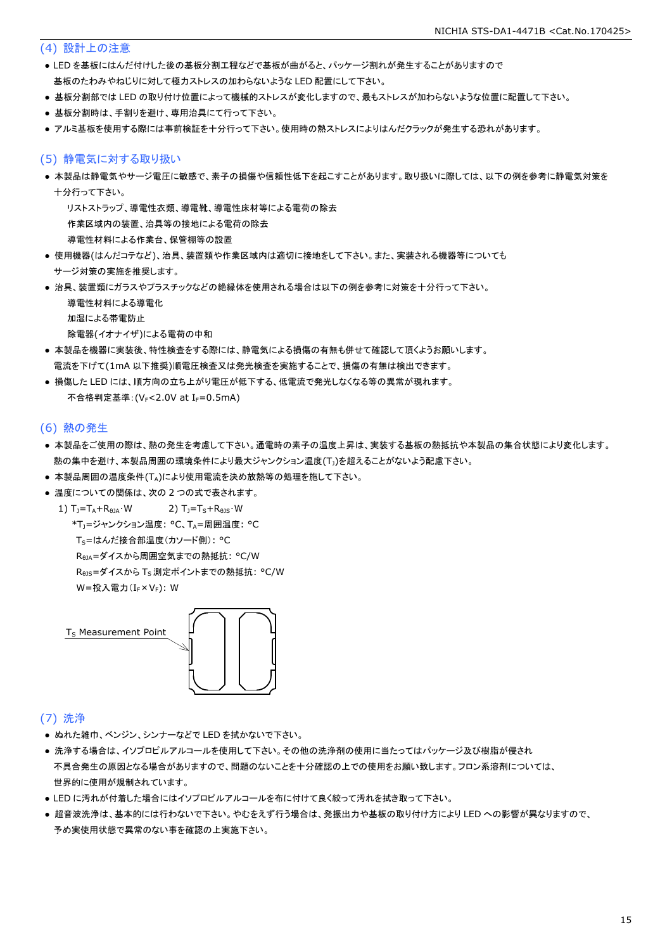## (4) 設計上の注意

- LED を基板にはんだ付けした後の基板分割工程などで基板が曲がると、パッケージ割れが発生することがありますので 基板のたわみやねじりに対して極力ストレスの加わらないような LED 配置にして下さい。
- 基板分割部では LED の取り付け位置によって機械的ストレスが変化しますので、最もストレスが加わらないような位置に配置して下さい。
- 基板分割時は、手割りを避け、専用治具にて行って下さい。
- アルミ基板を使用する際には事前検証を十分行って下さい。使用時の熱ストレスによりはんだクラックが発生する恐れがあります。

### (5) 静電気に対する取り扱い

- 本製品は静電気やサージ電圧に敏感で、素子の損傷や信頼性低下を起こすことがあります。取り扱いに際しては、以下の例を参考に静電気対策を 十分行って下さい。
	- リストストラップ、導電性衣類、導電靴、導電性床材等による電荷の除去 作業区域内の装置、治具等の接地による電荷の除去 導電性材料による作業台、保管棚等の設置
- 使用機器(はんだコテなど)、治具、装置類や作業区域内は適切に接地をして下さい。また、実装される機器等についても サージ対策の実施を推奨します。
- 治具、装置類にガラスやプラスチックなどの絶縁体を使用される場合は以下の例を参考に対策を十分行って下さい。 導電性材料による導電化 加湿による帯電防止

除電器(イオナイザ)による電荷の中和

- 本製品を機器に実装後、特性検査をする際には、静電気による損傷の有無も併せて確認して頂くようお願いします。 電流を下げて(1mA 以下推奨)順電圧検査又は発光検査を実施することで、損傷の有無は検出できます。
- 損傷した LED には、順方向の立ち上がり電圧が低下する、低電流で発光しなくなる等の異常が現れます。 不合格判定基準: (VF<2.0V at IF=0.5mA)

### (6) 熱の発生

- 本製品をご使用の際は、熱の発生を考慮して下さい。通電時の素子の温度上昇は、実装する基板の熱抵抗や本製品の集合状態により変化します。 熱の集中を避け、本製品周囲の環境条件により最大ジャンクション温度(T<sub>J</sub>)を超えることがないよう配慮下さい。
- 本製品周囲の温度条件(TA)により使用電流を決め放熱等の処理を施して下さい。
- 温度についての関係は、次の2つの式で表されます。
	- 1)  $T_1 = T_A + R_{\thetaJA} \cdot W$  2)  $T_1 = T_S + R_{\thetaJS} \cdot W$ \*T<sub>1</sub>=ジャンクション温度: °C、TA=周囲温度: °C T<sub>S</sub>=はんだ接合部温度(カソード側): °C Rena=ダイスから周囲空気までの熱抵抗: °C/W Reis=ダイスから Ts 測定ポイントまでの熱抵抗: °C/W  $W = \frac{1}{2} \lambda \frac{1}{2} \sum_{r=1}^{n} (I_{r} \times V_{r})$ : W



## (7) 洗浄

- ぬれた雑巾、ベンジン、シンナーなどで LED を拭かないで下さい。
- 洗浄する場合は、イソプロピルアルコールを使用して下さい。その他の洗浄剤の使用に当たってはパッケージ及び樹脂が侵され 不具合発生の原因となる場合がありますので、問題のないことを十分確認の上での使用をお願い致します。フロン系溶剤については、 世界的に使用が規制されています。
- LED に汚れが付着した場合にはイソプロピルアルコールを布に付けて良く絞って汚れを拭き取って下さい。
- 超音波洗浄は、基本的には行わないで下さい。やむをえず行う場合は、発振出力や基板の取り付け方により LED への影響が異なりますので、 予め実使用状態で異常のない事を確認の上実施下さい。